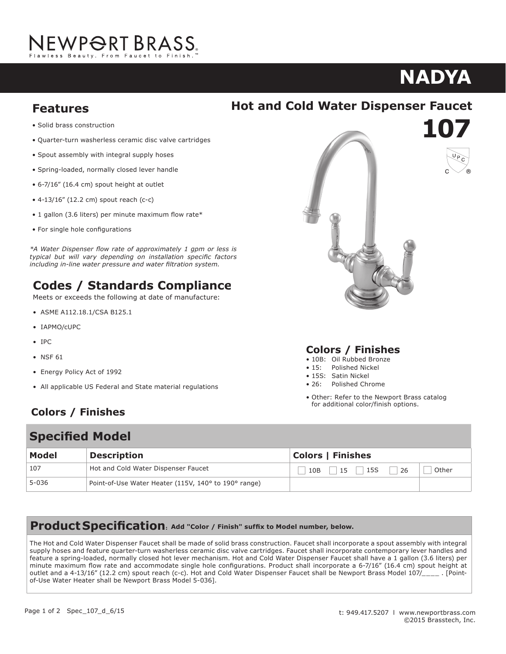## NEWP<del>O</del>RT BRASS. **Frawlood** Boad

# **107 NADYA Hot and Cold Water Dispenser Faucet 10712-1701**

**107**

### **Features Compliant Washerless ceramic disc value careta**

• Solid brass construction

Solid brass construction

· Quarter-turn washerless ceramic disc valve cartridges

 $\mathcal{L}_{\mathcal{A}}$  , we define the cartridges carrier was defined as  $\mathcal{L}_{\mathcal{A}}$ 

- Spout assembly with integral supply hoses
- Spring-loaded, normally closed lever handle
- 6-7/16" (16.4 cm) spout height at outlet
- $\bullet$  4-13/16" (12.2 cm) spout reach (c-c)
- 1 gallon (3.6 liters) per minute maximum flow rate\*
- For single hole configurations

Meets or exceeds the following at date of manufacture: *\*A Water Dispenser flow rate of approximately 1 gpm or less is*  **Codes / Standards Compliance** • For single hole configurations typical but will vary depending on installation specific factors **Codes / Standards Complete Additional Complete Complete Additional Contract Complete Additional Complete Additional Complete Additional Complete Additional Complete Additional Complete Additional Complete Additional Compl** *if i independing* the *manufacture of calleding in-line water pressure and water filtration system.* 

### **Codes / Standards Compliance**

Meets or exceeds the following at date of manufacture:

- ASME A112.18.1/CSA B125.1
- Energy Policy Act of 1992 • IAPMO/cUPC
- IPC  $\overline{\phantom{a}}$
- NSF  $61$
- Energy Policy Act of 1992
- All applicable US Federal and State material regulations

## **Colors / Finishes**

# **Specified Model Colors / Finishes**



#### • 10B: Oil Rubbed Bronze **Colors / Finishes**

- 10B: Oil Rubbed Bronze
- 15. Polished Nickel<br>• 15S: Satin Nickel • 15: Polished Nickel
- $\mathcal{S}$ . Satin Nickel
- $\bullet$  . To the new point Brass catalog for  $\bullet$ • 26: Polished Chrome
- Other: Refer to the Newport Brass catalog other: Refer to the Newport Brass catalog<br>for additional color/finish options.  $\alpha$  additional color/finition options.

| <b>Specified Model</b> |                                                      |                                                 |
|------------------------|------------------------------------------------------|-------------------------------------------------|
| Model                  | <b>Description</b>                                   | <b>Colors   Finishes</b>                        |
| 107                    | Hot and Cold Water Dispenser Faucet                  | Other<br>$15 \quad  $<br>15S<br>$10B$    <br>26 |
| 5-036                  | Point-of-Use Water Heater (115V, 140° to 190° range) |                                                 |

### **Product Specification**: Add "Color / Finish" suffix to Model number, below.

107/\_\_\_\_ . [Point-of-Use Water Heater shall be Newport Brass Model 5-036].

**Product Specification: Add "Color / Finish" suffix to Model number, below.**

integral supply hoses and feature quarter-turn washerless ceramic disc valve cartridges. Faucet shall incorporate ADA compliant The Hot and Cold Water Dispenser Faucet shall be made of solid brass construction. Faucet shall incorporate a spout assembly with integral  $\frac{1}{2}$  and  $\frac{1}{2}$  and  $\frac{1}{2}$  and  $\frac{1}{2}$  and  $\frac{1}{2}$  and  $\frac{1}{2}$  and  $\frac{1}{2}$  and  $\frac{1}{2}$  and  $\frac{1}{2}$  and  $\frac{1}{2}$  and  $\frac{1}{2}$  and  $\frac{1}{2}$  and  $\frac{1}{2}$  and  $\frac{1}{2}$  and  $\frac{1}{2}$  and  $\frac{1}{2}$  a minute maximum flow rate and accommodate single hole configurations. Product shall incorporate a 6-7/16" (16.4 cm) spout height at outlet and a 4-13/16" (12.2 cm) spout reach (c-c). Hot and Cold Water Dispenser Faucet shall be Newport Brass Model 107/\_\_\_\_\_. [Point-<br>of-lise Water Heater shall be Newport Rracs Model 5-0361 supply hoses and feature quarter-turn washerless ceramic disc valve cartridges. Faucet shall incorporate contemporary lever handles and of-Use Water Heater shall be Newport Brass Model 5-036].<br>Of-Use Water Heater shall be Newport Brass Model 5-036].

page 1 of 2 speculation of 2 speculation

t: 949.417.5207 | www.newportbrass.com

## **Hot and Cold Water Dispenser Faucet**